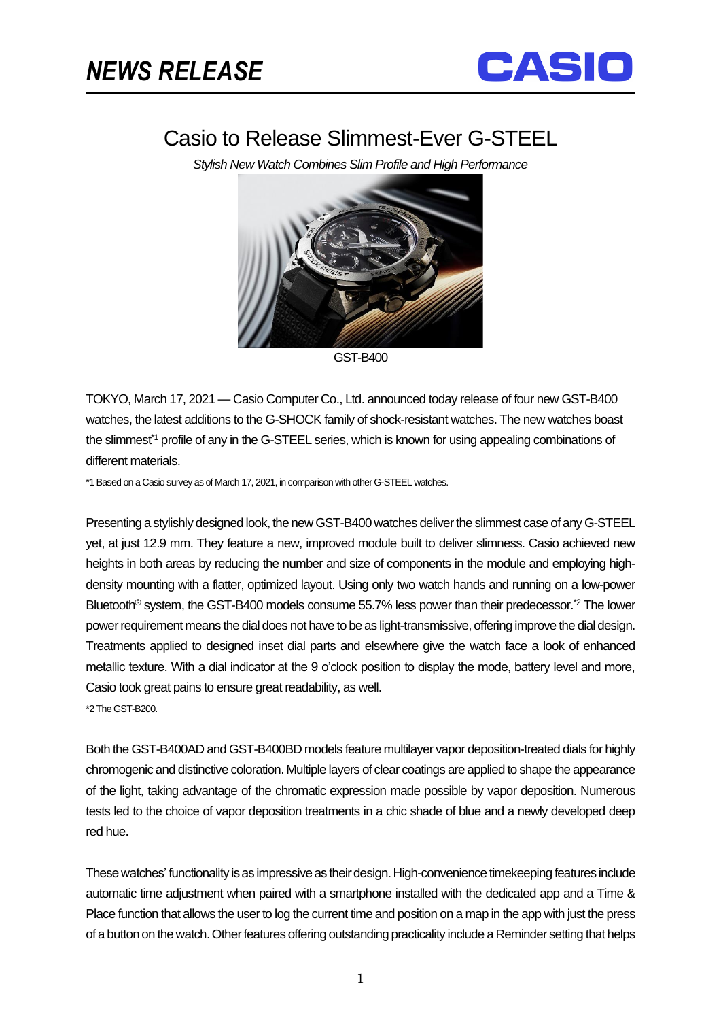֡֡֡֡



## Casio to Release Slimmest-Ever G-STEEL

*Stylish New Watch Combines Slim Profile and High Performance*



GST-B400

TOKYO, March 17, 2021 — Casio Computer Co., Ltd. announced today release of four new GST-B400 watches, the latest additions to the G-SHOCK family of shock-resistant watches. The new watches boast the slimmest<sup>\*1</sup> profile of any in the G-STEEL series, which is known for using appealing combinations of different materials.

\*1 Based on a Casio survey as of March 17, 2021, in comparison with other G-STEEL watches.

Presenting a stylishly designed look, the new GST-B400 watches deliver the slimmest case of any G-STEEL yet, at just 12.9 mm. They feature a new, improved module built to deliver slimness. Casio achieved new heights in both areas by reducing the number and size of components in the module and employing highdensity mounting with a flatter, optimized layout. Using only two watch hands and running on a low-power Bluetooth<sup>®</sup> system, the GST-B400 models consume 55.7% less power than their predecessor.<sup>\*2</sup> The lower power requirement means the dial does not have to be as light-transmissive, offering improve the dial design. Treatments applied to designed inset dial parts and elsewhere give the watch face a look of enhanced metallic texture. With a dial indicator at the 9 o'clock position to display the mode, battery level and more, Casio took great pains to ensure great readability, as well. \*2 The GST-B200.

Both the GST-B400AD and GST-B400BD models feature multilayer vapor deposition-treated dials for highly chromogenic and distinctive coloration. Multiple layers of clear coatings are applied to shape the appearance of the light, taking advantage of the chromatic expression made possible by vapor deposition. Numerous tests led to the choice of vapor deposition treatments in a chic shade of blue and a newly developed deep red hue.

These watches' functionality is as impressive as their design. High-convenience timekeeping features include automatic time adjustment when paired with a smartphone installed with the dedicated app and a Time & Place function that allows the user to log the current time and position on a map in the app with just the press of a button on the watch. Other features offering outstanding practicality include a Reminder setting that helps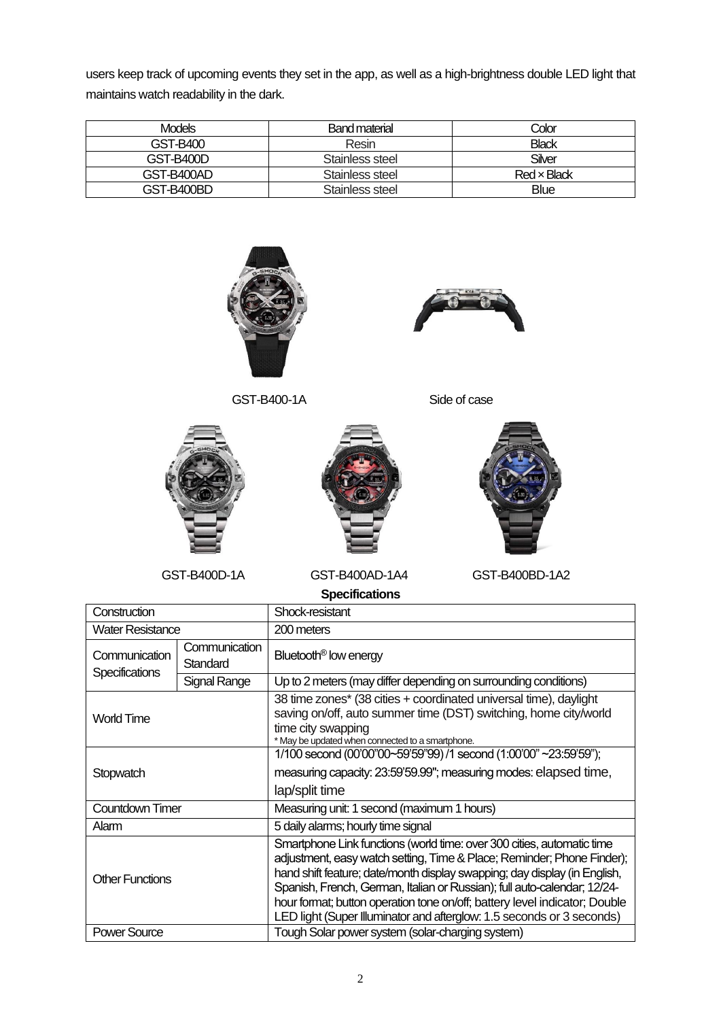users keep track of upcoming events they set in the app, as well as a high-brightness double LED light that maintains watch readability in the dark.

| <b>Models</b> | Band material   | Color        |
|---------------|-----------------|--------------|
| GST-B400      | Resin           | <b>Black</b> |
| GST-B400D     | Stainless steel | Silver       |
| GST-B400AD    | Stainless steel | Red x Black  |
| GST-B400BD    | Stainless steel | <b>Blue</b>  |



| Construction                           |                           | Shock-resistant                                                                                                                                                                                                                                                                                                                                                                                                                                                  |  |
|----------------------------------------|---------------------------|------------------------------------------------------------------------------------------------------------------------------------------------------------------------------------------------------------------------------------------------------------------------------------------------------------------------------------------------------------------------------------------------------------------------------------------------------------------|--|
| <b>Water Resistance</b>                |                           | 200 meters                                                                                                                                                                                                                                                                                                                                                                                                                                                       |  |
| Communication<br><b>Specifications</b> | Communication<br>Standard | Bluetooth <sup>®</sup> low energy                                                                                                                                                                                                                                                                                                                                                                                                                                |  |
|                                        | Signal Range              | Up to 2 meters (may differ depending on surrounding conditions)                                                                                                                                                                                                                                                                                                                                                                                                  |  |
| <b>World Time</b>                      |                           | 38 time zones* (38 cities + coordinated universal time), daylight<br>saving on/off, auto summer time (DST) switching, home city/world<br>time city swapping<br>* May be updated when connected to a smartphone.                                                                                                                                                                                                                                                  |  |
| Stopwatch                              |                           | 1/100 second (00'00"00~59'59"99) /1 second (1:00'00" ~23:59'59");                                                                                                                                                                                                                                                                                                                                                                                                |  |
|                                        |                           | measuring capacity: 23:59'59.99"; measuring modes: elapsed time,                                                                                                                                                                                                                                                                                                                                                                                                 |  |
|                                        |                           | lap/split time                                                                                                                                                                                                                                                                                                                                                                                                                                                   |  |
| Countdown Timer                        |                           | Measuring unit: 1 second (maximum 1 hours)                                                                                                                                                                                                                                                                                                                                                                                                                       |  |
| Alarm                                  |                           | 5 daily alarms; hourly time signal                                                                                                                                                                                                                                                                                                                                                                                                                               |  |
| <b>Other Functions</b>                 |                           | Smartphone Link functions (world time: over 300 cities, automatic time<br>adjustment, easy watch setting, Time & Place; Reminder; Phone Finder);<br>hand shift feature; date/month display swapping; day display (in English,<br>Spanish, French, German, Italian or Russian); full auto-calendar; 12/24-<br>hour format; button operation tone on/off; battery level indicator; Double<br>LED light (Super Illuminator and afterglow: 1.5 seconds or 3 seconds) |  |
| <b>Power Source</b>                    |                           | Tough Solar power system (solar-charging system)                                                                                                                                                                                                                                                                                                                                                                                                                 |  |